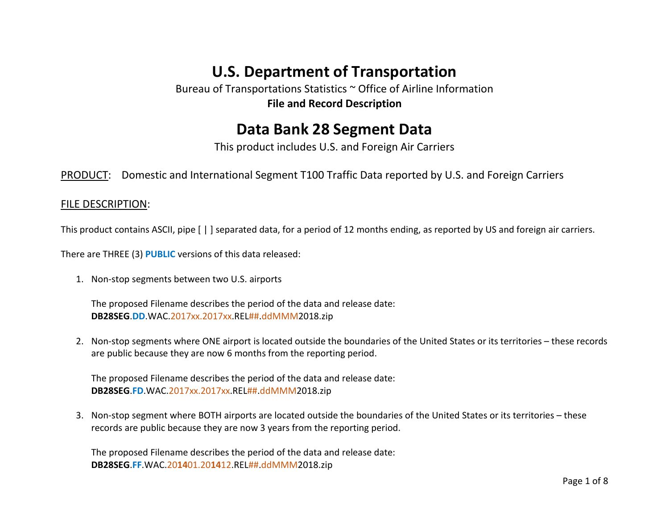# **U.S. Department of Transportation**

Bureau of Transportations Statistics ~ Office of Airline Information **File and Record Description**

## **Data Bank 28 Segment Data**

This product includes U.S. and Foreign Air Carriers

PRODUCT: Domestic and International Segment T100 Traffic Data reported by U.S. and Foreign Carriers

### FILE DESCRIPTION:

This product contains ASCII, pipe [ | ] separated data, for a period of 12 months ending, as reported by US and foreign air carriers.

There are THREE (3) **PUBLIC** versions of this data released:

1. Non-stop segments between two U.S. airports

The proposed Filename describes the period of the data and release date: **DB28SEG**.**DD**.WAC.2017xx.2017xx.REL##.ddMMM2018.zip

2. Non-stop segments where ONE airport is located outside the boundaries of the United States or its territories – these records are public because they are now 6 months from the reporting period.

The proposed Filename describes the period of the data and release date: **DB28SEG**.**FD**.WAC.2017xx.2017xx.REL##.ddMMM2018.zip

3. Non-stop segment where BOTH airports are located outside the boundaries of the United States or its territories – these records are public because they are now 3 years from the reporting period.

The proposed Filename describes the period of the data and release date: **DB28SEG**.**FF**.WAC.20**14**01.20**14**12.REL##.ddMMM2018.zip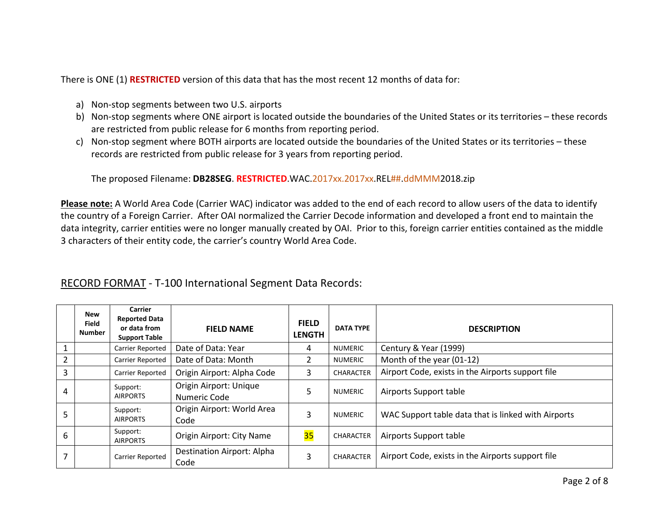There is ONE (1) **RESTRICTED** version of this data that has the most recent 12 months of data for:

- a) Non-stop segments between two U.S. airports
- b) Non-stop segments where ONE airport is located outside the boundaries of the United States or its territories these records are restricted from public release for 6 months from reporting period.
- c) Non-stop segment where BOTH airports are located outside the boundaries of the United States or its territories these records are restricted from public release for 3 years from reporting period.

The proposed Filename: **DB28SEG**. **RESTRICTED**.WAC.2017xx.2017xx.REL##.ddMMM2018.zip

**Please note:** A World Area Code (Carrier WAC) indicator was added to the end of each record to allow users of the data to identify the country of a Foreign Carrier. After OAI normalized the Carrier Decode information and developed a front end to maintain the data integrity, carrier entities were no longer manually created by OAI. Prior to this, foreign carrier entities contained as the middle 3 characters of their entity code, the carrier's country World Area Code.

|   | New<br><b>Field</b><br><b>Number</b> | <b>Carrier</b><br><b>Reported Data</b><br>or data from<br><b>Support Table</b> | <b>FIELD NAME</b>                      | <b>FIELD</b><br><b>LENGTH</b> | <b>DATA TYPE</b> | <b>DESCRIPTION</b>                                  |
|---|--------------------------------------|--------------------------------------------------------------------------------|----------------------------------------|-------------------------------|------------------|-----------------------------------------------------|
|   |                                      | Carrier Reported                                                               | Date of Data: Year                     | 4                             | <b>NUMERIC</b>   | Century & Year (1999)                               |
| 2 |                                      | Carrier Reported                                                               | Date of Data: Month                    | 2                             | <b>NUMERIC</b>   | Month of the year (01-12)                           |
| 3 |                                      | Carrier Reported                                                               | Origin Airport: Alpha Code             | 3                             | <b>CHARACTER</b> | Airport Code, exists in the Airports support file   |
| 4 |                                      | Support:<br><b>AIRPORTS</b>                                                    | Origin Airport: Unique<br>Numeric Code | 5                             | <b>NUMERIC</b>   | Airports Support table                              |
| ר |                                      | Support:<br><b>AIRPORTS</b>                                                    | Origin Airport: World Area<br>Code     | 3                             | <b>NUMERIC</b>   | WAC Support table data that is linked with Airports |
| 6 |                                      | Support:<br><b>AIRPORTS</b>                                                    | Origin Airport: City Name              | 35                            | <b>CHARACTER</b> | Airports Support table                              |
|   |                                      | Carrier Reported                                                               | Destination Airport: Alpha<br>Code     | 3                             | <b>CHARACTER</b> | Airport Code, exists in the Airports support file   |

### RECORD FORMAT - T-100 International Segment Data Records: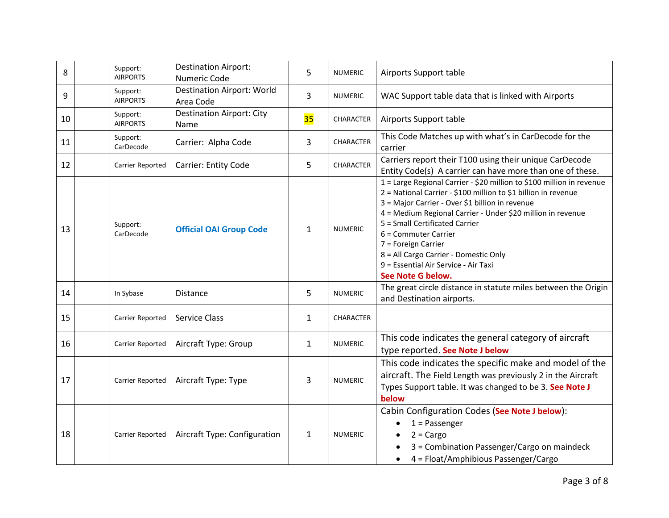| 8  | Support:<br><b>AIRPORTS</b> | <b>Destination Airport:</b><br>Numeric Code    | 5            | <b>NUMERIC</b>   | Airports Support table                                                                                                                                                                                                                                                                                                                                                                                                                           |
|----|-----------------------------|------------------------------------------------|--------------|------------------|--------------------------------------------------------------------------------------------------------------------------------------------------------------------------------------------------------------------------------------------------------------------------------------------------------------------------------------------------------------------------------------------------------------------------------------------------|
| 9  | Support:<br><b>AIRPORTS</b> | <b>Destination Airport: World</b><br>Area Code | 3            | <b>NUMERIC</b>   | WAC Support table data that is linked with Airports                                                                                                                                                                                                                                                                                                                                                                                              |
| 10 | Support:<br><b>AIRPORTS</b> | <b>Destination Airport: City</b><br>Name       | 35           | CHARACTER        | Airports Support table                                                                                                                                                                                                                                                                                                                                                                                                                           |
| 11 | Support:<br>CarDecode       | Carrier: Alpha Code                            | 3            | <b>CHARACTER</b> | This Code Matches up with what's in CarDecode for the<br>carrier                                                                                                                                                                                                                                                                                                                                                                                 |
| 12 | Carrier Reported            | Carrier: Entity Code                           | 5            | CHARACTER        | Carriers report their T100 using their unique CarDecode<br>Entity Code(s) A carrier can have more than one of these.                                                                                                                                                                                                                                                                                                                             |
| 13 | Support:<br>CarDecode       | <b>Official OAI Group Code</b>                 | $\mathbf{1}$ | <b>NUMERIC</b>   | 1 = Large Regional Carrier - \$20 million to \$100 million in revenue<br>2 = National Carrier - \$100 million to \$1 billion in revenue<br>3 = Major Carrier - Over \$1 billion in revenue<br>4 = Medium Regional Carrier - Under \$20 million in revenue<br>5 = Small Certificated Carrier<br>6 = Commuter Carrier<br>7 = Foreign Carrier<br>8 = All Cargo Carrier - Domestic Only<br>9 = Essential Air Service - Air Taxi<br>See Note G below. |
| 14 | In Sybase                   | Distance                                       | 5            | <b>NUMERIC</b>   | The great circle distance in statute miles between the Origin<br>and Destination airports.                                                                                                                                                                                                                                                                                                                                                       |
| 15 | Carrier Reported            | Service Class                                  | $\mathbf{1}$ | <b>CHARACTER</b> |                                                                                                                                                                                                                                                                                                                                                                                                                                                  |
| 16 | Carrier Reported            | Aircraft Type: Group                           | $\mathbf{1}$ | <b>NUMERIC</b>   | This code indicates the general category of aircraft<br>type reported. See Note J below                                                                                                                                                                                                                                                                                                                                                          |
| 17 | Carrier Reported            | Aircraft Type: Type                            | 3            | <b>NUMERIC</b>   | This code indicates the specific make and model of the<br>aircraft. The Field Length was previously 2 in the Aircraft<br>Types Support table. It was changed to be 3. See Note J<br>below                                                                                                                                                                                                                                                        |
| 18 | Carrier Reported            | Aircraft Type: Configuration                   | $\mathbf{1}$ | <b>NUMERIC</b>   | Cabin Configuration Codes (See Note J below):<br>$1$ = Passenger<br>$2 = Cargo$<br>3 = Combination Passenger/Cargo on maindeck<br>4 = Float/Amphibious Passenger/Cargo                                                                                                                                                                                                                                                                           |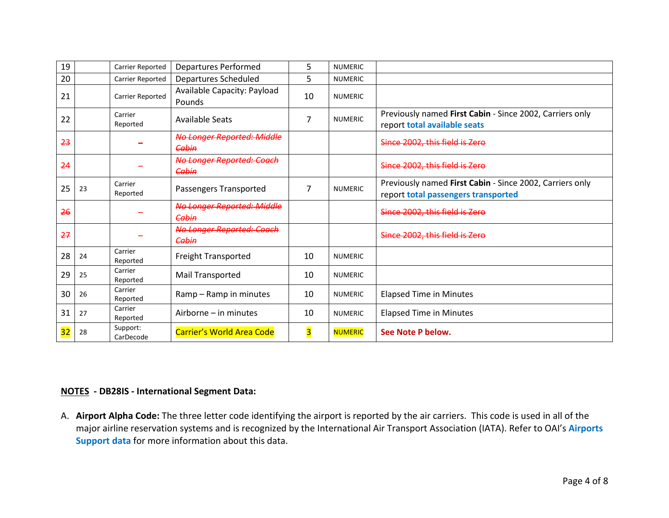| 19 |    | <b>Carrier Reported</b> | <b>Departures Performed</b>                  | 5  | <b>NUMERIC</b> |                                                                                                 |
|----|----|-------------------------|----------------------------------------------|----|----------------|-------------------------------------------------------------------------------------------------|
| 20 |    | <b>Carrier Reported</b> | Departures Scheduled                         | 5  | <b>NUMERIC</b> |                                                                                                 |
| 21 |    | Carrier Reported        | Available Capacity: Payload<br><b>Pounds</b> | 10 | <b>NUMERIC</b> |                                                                                                 |
| 22 |    | Carrier<br>Reported     | Available Seats                              | 7  | <b>NUMERIC</b> | Previously named First Cabin - Since 2002, Carriers only<br>report total available seats        |
| 23 |    |                         | <b>No Longer Reported: Middle</b><br>Cabin   |    |                | Since 2002, this field is Zero                                                                  |
| 24 |    |                         | No Longer Reported: Coach<br>Cabin           |    |                | Since 2002, this field is Zero                                                                  |
| 25 | 23 | Carrier<br>Reported     | Passengers Transported                       | 7  | <b>NUMERIC</b> | Previously named First Cabin - Since 2002, Carriers only<br>report total passengers transported |
| 26 |    |                         | <b>No Longer Reported: Middle</b><br>Cabin   |    |                | Since 2002, this field is Zero                                                                  |
| 27 |    |                         | <b>No Longer Reported: Coach</b><br>Cabin    |    |                | Since 2002, this field is Zero                                                                  |
| 28 | 24 | Carrier<br>Reported     | <b>Freight Transported</b>                   | 10 | <b>NUMERIC</b> |                                                                                                 |
| 29 | 25 | Carrier<br>Reported     | Mail Transported                             | 10 | <b>NUMERIC</b> |                                                                                                 |
| 30 | 26 | Carrier<br>Reported     | Ramp - Ramp in minutes                       | 10 | <b>NUMERIC</b> | <b>Elapsed Time in Minutes</b>                                                                  |
| 31 | 27 | Carrier<br>Reported     | Airborne – in minutes                        | 10 | <b>NUMERIC</b> | <b>Elapsed Time in Minutes</b>                                                                  |
| 32 | 28 | Support:<br>CarDecode   | <b>Carrier's World Area Code</b>             | 3  | <b>NUMERIC</b> | See Note P below.                                                                               |

#### **NOTES - DB28IS - International Segment Data:**

A. **Airport Alpha Code:** The three letter code identifying the airport is reported by the air carriers. This code is used in all of the major airline reservation systems and is recognized by the International Air Transport Association (IATA). Refer to OAI's **Airports Support data** for more information about this data.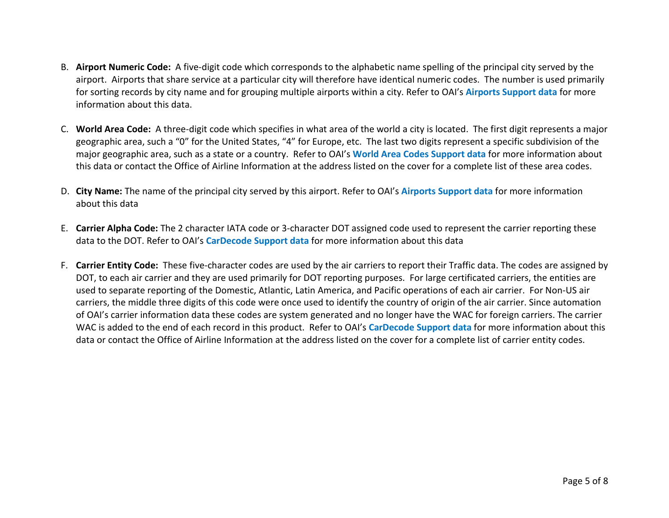- B. **Airport Numeric Code:** A five-digit code which corresponds to the alphabetic name spelling of the principal city served by the airport. Airports that share service at a particular city will therefore have identical numeric codes. The number is used primarily for sorting records by city name and for grouping multiple airports within a city. Refer to OAI's **Airports Support data** for more information about this data.
- C. **World Area Code:** A three-digit code which specifies in what area of the world a city is located. The first digit represents a major geographic area, such a "0" for the United States, "4" for Europe, etc. The last two digits represent a specific subdivision of the major geographic area, such as a state or a country. Refer to OAI's **World Area Codes Support data** for more information about this data or contact the Office of Airline Information at the address listed on the cover for a complete list of these area codes.
- D. **City Name:** The name of the principal city served by this airport. Refer to OAI's **Airports Support data** for more information about this data
- E. **Carrier Alpha Code:** The 2 character IATA code or 3-character DOT assigned code used to represent the carrier reporting these data to the DOT. Refer to OAI's **CarDecode Support data** for more information about this data
- F. **Carrier Entity Code:** These five-character codes are used by the air carriers to report their Traffic data. The codes are assigned by DOT, to each air carrier and they are used primarily for DOT reporting purposes. For large certificated carriers, the entities are used to separate reporting of the Domestic, Atlantic, Latin America, and Pacific operations of each air carrier. For Non-US air carriers, the middle three digits of this code were once used to identify the country of origin of the air carrier. Since automation of OAI's carrier information data these codes are system generated and no longer have the WAC for foreign carriers. The carrier WAC is added to the end of each record in this product. Refer to OAI's **CarDecode Support data** for more information about this data or contact the Office of Airline Information at the address listed on the cover for a complete list of carrier entity codes.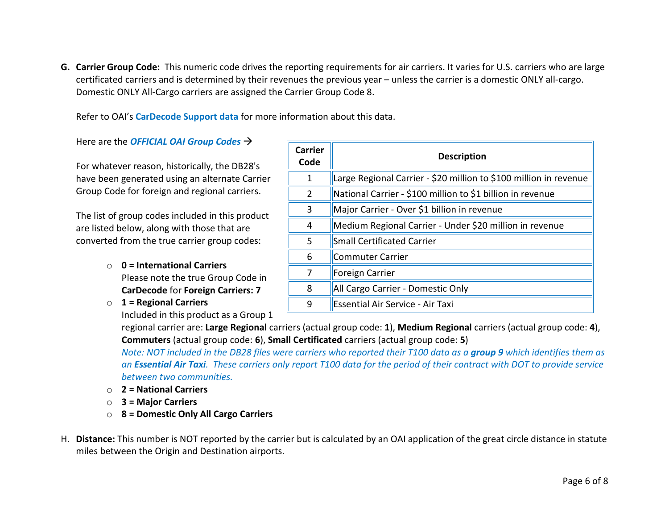**G. Carrier Group Code:** This numeric code drives the reporting requirements for air carriers. It varies for U.S. carriers who are large certificated carriers and is determined by their revenues the previous year – unless the carrier is a domestic ONLY all-cargo. Domestic ONLY All-Cargo carriers are assigned the Carrier Group Code 8.

Refer to OAI's **CarDecode Support data** for more information about this data.

Here are the *OFFICIAL OAI Group Codes*

For whatever reason, historically, the DB28's have been generated using an alternate Carrier Group Code for foreign and regional carriers.

The list of group codes included in this product are listed below, along with those that are converted from the true carrier group codes:

- o **0 = International Carriers** Please note the true Group Code in **CarDecode** for **Foreign Carriers: 7**
- o **1 = Regional Carriers**

Included in this product as a Group 1

| Carrier<br>Code | <b>Description</b>                                                |  |  |  |  |
|-----------------|-------------------------------------------------------------------|--|--|--|--|
| 1               | Large Regional Carrier - \$20 million to \$100 million in revenue |  |  |  |  |
| $\mathcal{P}$   | National Carrier - \$100 million to \$1 billion in revenue        |  |  |  |  |
| 3               | Major Carrier - Over \$1 billion in revenue                       |  |  |  |  |
| 4               | Medium Regional Carrier - Under \$20 million in revenue           |  |  |  |  |
| 5               | <b>Small Certificated Carrier</b>                                 |  |  |  |  |
| 6               | Commuter Carrier                                                  |  |  |  |  |
| 7               | Foreign Carrier                                                   |  |  |  |  |
| 8               | All Cargo Carrier - Domestic Only                                 |  |  |  |  |
| 9               | Essential Air Service - Air Taxi                                  |  |  |  |  |

regional carrier are: **Large Regional** carriers (actual group code: **1**), **Medium Regional** carriers (actual group code: **4**), **Commuters** (actual group code: **6**), **Small Certificated** carriers (actual group code: **5**)

*Note: NOT included in the DB28 files were carriers who reported their T100 data as a group 9 which identifies them as an Essential Air Taxi. These carriers only report T100 data for the period of their contract with DOT to provide service between two communities.* 

- o **2 = National Carriers**
- o **3 = Major Carriers**
- o **8 = Domestic Only All Cargo Carriers**
- H. **Distance:** This number is NOT reported by the carrier but is calculated by an OAI application of the great circle distance in statute miles between the Origin and Destination airports.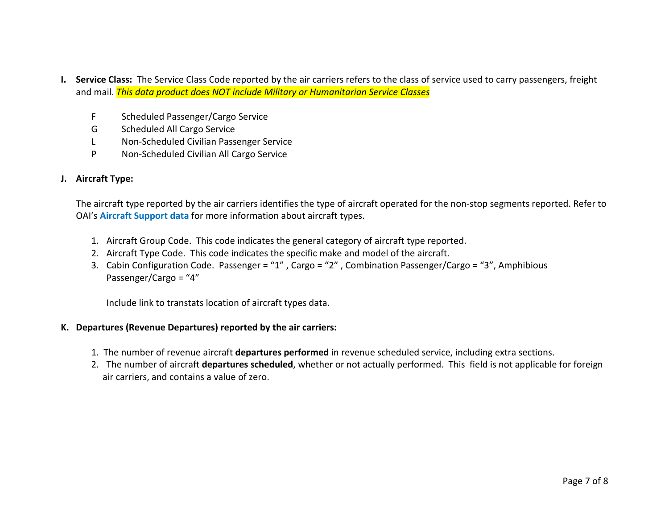- **I. Service Class:** The Service Class Code reported by the air carriers refers to the class of service used to carry passengers, freight and mail. *This data product does NOT include Military or Humanitarian Service Classes*
	- F Scheduled Passenger/Cargo Service
	- G Scheduled All Cargo Service
	- L Non-Scheduled Civilian Passenger Service
	- P Non-Scheduled Civilian All Cargo Service

#### **J. Aircraft Type:**

The aircraft type reported by the air carriers identifies the type of aircraft operated for the non-stop segments reported. Refer to OAI's **Aircraft Support data** for more information about aircraft types.

- 1. Aircraft Group Code. This code indicates the general category of aircraft type reported.
- 2. Aircraft Type Code. This code indicates the specific make and model of the aircraft.
- 3. Cabin Configuration Code. Passenger = "1" , Cargo = "2" , Combination Passenger/Cargo = "3", Amphibious Passenger/Cargo = "4"

Include link to transtats location of aircraft types data.

#### **K. Departures (Revenue Departures) reported by the air carriers:**

- 1. The number of revenue aircraft **departures performed** in revenue scheduled service, including extra sections.
- 2. The number of aircraft **departures scheduled**, whether or not actually performed. This field is not applicable for foreign air carriers, and contains a value of zero.